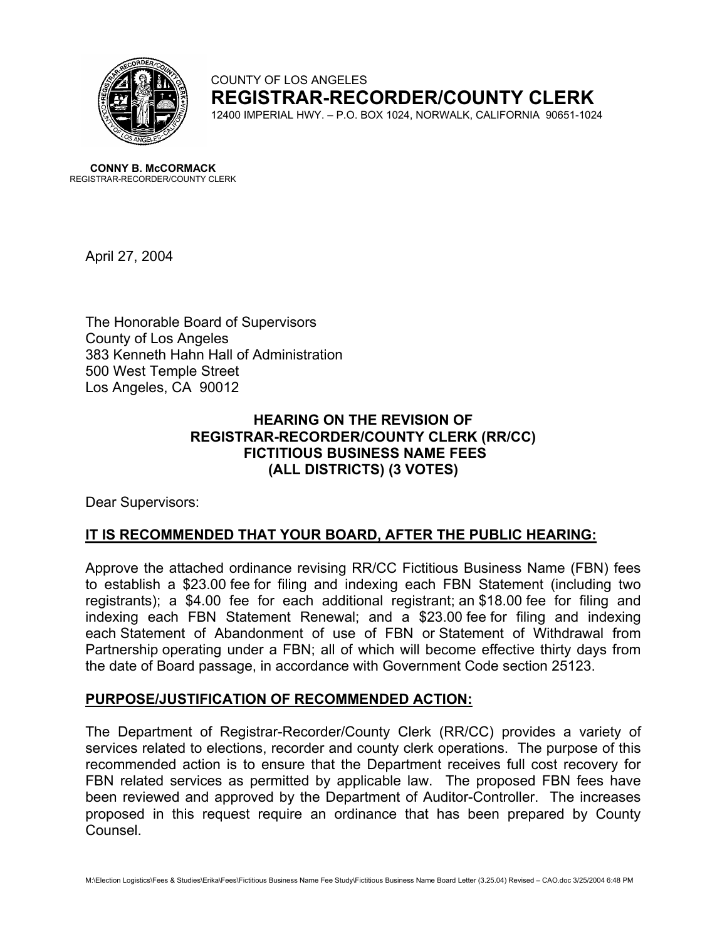

COUNTY OF LOS ANGELES **REGISTRAR-RECORDER/COUNTY CLERK** 12400 IMPERIAL HWY. – P.O. BOX 1024, NORWALK, CALIFORNIA 90651-1024

**CONNY B. McCORMACK** REGISTRAR-RECORDER/COUNTY CLERK

April 27, 2004

The Honorable Board of Supervisors County of Los Angeles 383 Kenneth Hahn Hall of Administration 500 West Temple Street Los Angeles, CA 90012

## **HEARING ON THE REVISION OF REGISTRAR-RECORDER/COUNTY CLERK (RR/CC) FICTITIOUS BUSINESS NAME FEES (ALL DISTRICTS) (3 VOTES)**

Dear Supervisors:

## **IT IS RECOMMENDED THAT YOUR BOARD, AFTER THE PUBLIC HEARING:**

Approve the attached ordinance revising RR/CC Fictitious Business Name (FBN) fees to establish a \$23.00 fee for filing and indexing each FBN Statement (including two registrants); a \$4.00 fee for each additional registrant; an \$18.00 fee for filing and indexing each FBN Statement Renewal; and a \$23.00 fee for filing and indexing each Statement of Abandonment of use of FBN or Statement of Withdrawal from Partnership operating under a FBN; all of which will become effective thirty days from the date of Board passage, in accordance with Government Code section 25123.

## **PURPOSE/JUSTIFICATION OF RECOMMENDED ACTION:**

The Department of Registrar-Recorder/County Clerk (RR/CC) provides a variety of services related to elections, recorder and county clerk operations. The purpose of this recommended action is to ensure that the Department receives full cost recovery for FBN related services as permitted by applicable law. The proposed FBN fees have been reviewed and approved by the Department of Auditor-Controller. The increases proposed in this request require an ordinance that has been prepared by County Counsel.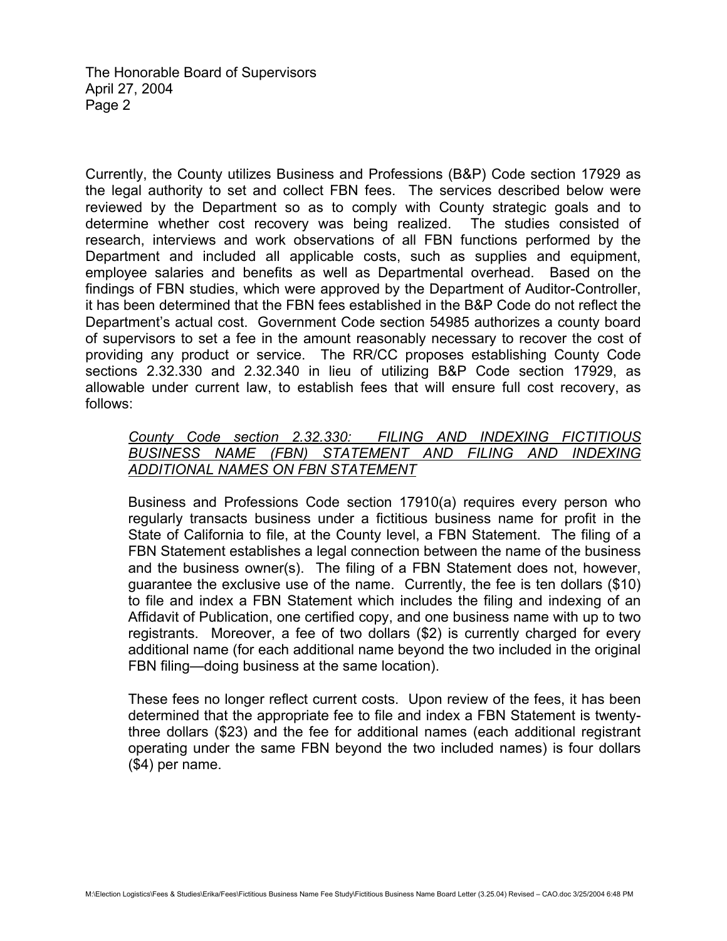The Honorable Board of Supervisors April 27, 2004 Page 2

Currently, the County utilizes Business and Professions (B&P) Code section 17929 as the legal authority to set and collect FBN fees. The services described below were reviewed by the Department so as to comply with County strategic goals and to determine whether cost recovery was being realized. The studies consisted of research, interviews and work observations of all FBN functions performed by the Department and included all applicable costs, such as supplies and equipment, employee salaries and benefits as well as Departmental overhead. Based on the findings of FBN studies, which were approved by the Department of Auditor-Controller, it has been determined that the FBN fees established in the B&P Code do not reflect the Department's actual cost. Government Code section 54985 authorizes a county board of supervisors to set a fee in the amount reasonably necessary to recover the cost of providing any product or service. The RR/CC proposes establishing County Code sections 2.32.330 and 2.32.340 in lieu of utilizing B&P Code section 17929, as allowable under current law, to establish fees that will ensure full cost recovery, as follows:

### *County Code section 2.32.330: FILING AND INDEXING FICTITIOUS BUSINESS NAME (FBN) STATEMENT AND FILING AND INDEXING ADDITIONAL NAMES ON FBN STATEMENT*

Business and Professions Code section 17910(a) requires every person who regularly transacts business under a fictitious business name for profit in the State of California to file, at the County level, a FBN Statement. The filing of a FBN Statement establishes a legal connection between the name of the business and the business owner(s). The filing of a FBN Statement does not, however, guarantee the exclusive use of the name. Currently, the fee is ten dollars (\$10) to file and index a FBN Statement which includes the filing and indexing of an Affidavit of Publication, one certified copy, and one business name with up to two registrants. Moreover, a fee of two dollars (\$2) is currently charged for every additional name (for each additional name beyond the two included in the original FBN filing—doing business at the same location).

These fees no longer reflect current costs. Upon review of the fees, it has been determined that the appropriate fee to file and index a FBN Statement is twentythree dollars (\$23) and the fee for additional names (each additional registrant operating under the same FBN beyond the two included names) is four dollars (\$4) per name.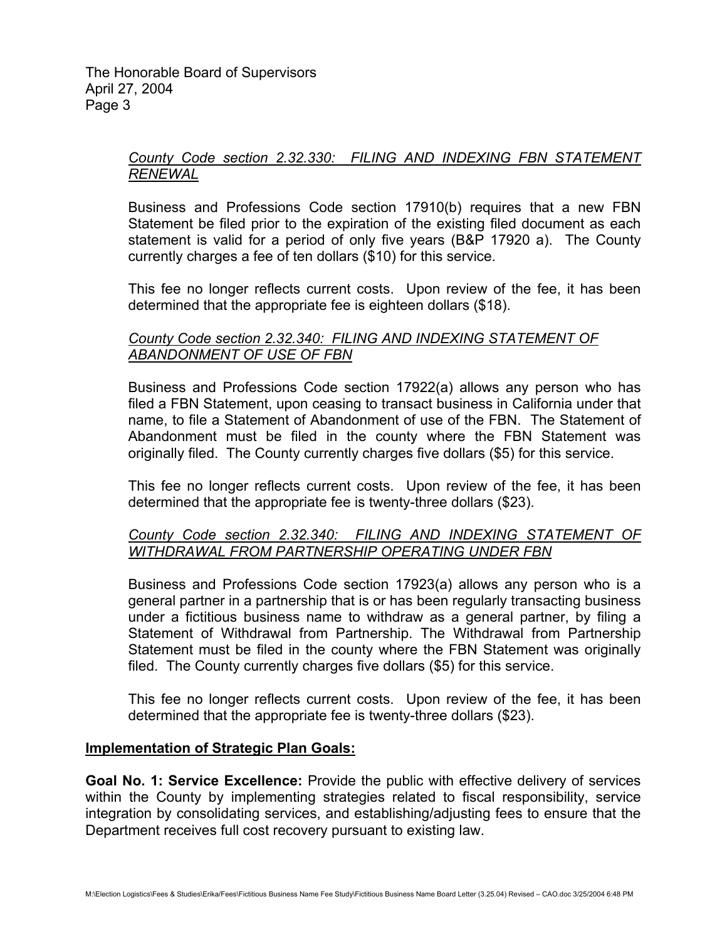## *County Code section 2.32.330: FILING AND INDEXING FBN STATEMENT RENEWAL*

Business and Professions Code section 17910(b) requires that a new FBN Statement be filed prior to the expiration of the existing filed document as each statement is valid for a period of only five years (B&P 17920 a). The County currently charges a fee of ten dollars (\$10) for this service.

This fee no longer reflects current costs. Upon review of the fee, it has been determined that the appropriate fee is eighteen dollars (\$18).

# *County Code section 2.32.340: FILING AND INDEXING STATEMENT OF ABANDONMENT OF USE OF FBN*

Business and Professions Code section 17922(a) allows any person who has filed a FBN Statement, upon ceasing to transact business in California under that name, to file a Statement of Abandonment of use of the FBN. The Statement of Abandonment must be filed in the county where the FBN Statement was originally filed. The County currently charges five dollars (\$5) for this service.

This fee no longer reflects current costs. Upon review of the fee, it has been determined that the appropriate fee is twenty-three dollars (\$23).

## *County Code section 2.32.340: FILING AND INDEXING STATEMENT OF WITHDRAWAL FROM PARTNERSHIP OPERATING UNDER FBN*

Business and Professions Code section 17923(a) allows any person who is a general partner in a partnership that is or has been regularly transacting business under a fictitious business name to withdraw as a general partner, by filing a Statement of Withdrawal from Partnership. The Withdrawal from Partnership Statement must be filed in the county where the FBN Statement was originally filed. The County currently charges five dollars (\$5) for this service.

This fee no longer reflects current costs. Upon review of the fee, it has been determined that the appropriate fee is twenty-three dollars (\$23).

## **Implementation of Strategic Plan Goals:**

**Goal No. 1: Service Excellence:** Provide the public with effective delivery of services within the County by implementing strategies related to fiscal responsibility, service integration by consolidating services, and establishing/adjusting fees to ensure that the Department receives full cost recovery pursuant to existing law.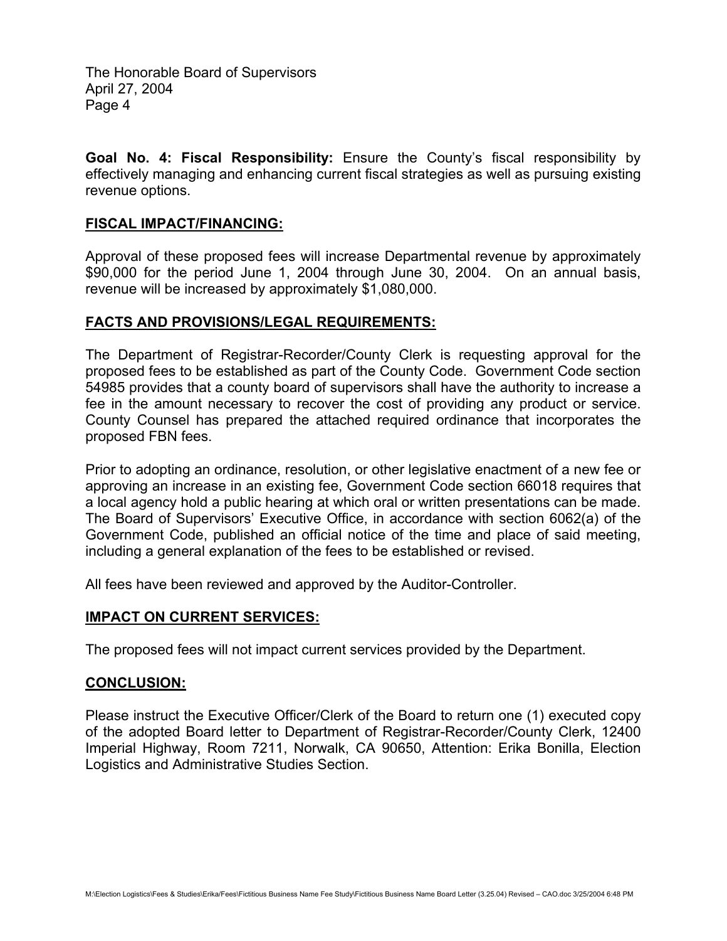The Honorable Board of Supervisors April 27, 2004 Page 4

**Goal No. 4: Fiscal Responsibility:** Ensure the County's fiscal responsibility by effectively managing and enhancing current fiscal strategies as well as pursuing existing revenue options.

#### **FISCAL IMPACT/FINANCING:**

Approval of these proposed fees will increase Departmental revenue by approximately \$90,000 for the period June 1, 2004 through June 30, 2004. On an annual basis, revenue will be increased by approximately \$1,080,000.

#### **FACTS AND PROVISIONS/LEGAL REQUIREMENTS:**

The Department of Registrar-Recorder/County Clerk is requesting approval for the proposed fees to be established as part of the County Code. Government Code section 54985 provides that a county board of supervisors shall have the authority to increase a fee in the amount necessary to recover the cost of providing any product or service. County Counsel has prepared the attached required ordinance that incorporates the proposed FBN fees.

Prior to adopting an ordinance, resolution, or other legislative enactment of a new fee or approving an increase in an existing fee, Government Code section 66018 requires that a local agency hold a public hearing at which oral or written presentations can be made. The Board of Supervisors' Executive Office, in accordance with section 6062(a) of the Government Code, published an official notice of the time and place of said meeting, including a general explanation of the fees to be established or revised.

All fees have been reviewed and approved by the Auditor-Controller.

#### **IMPACT ON CURRENT SERVICES:**

The proposed fees will not impact current services provided by the Department.

#### **CONCLUSION:**

Please instruct the Executive Officer/Clerk of the Board to return one (1) executed copy of the adopted Board letter to Department of Registrar-Recorder/County Clerk, 12400 Imperial Highway, Room 7211, Norwalk, CA 90650, Attention: Erika Bonilla, Election Logistics and Administrative Studies Section.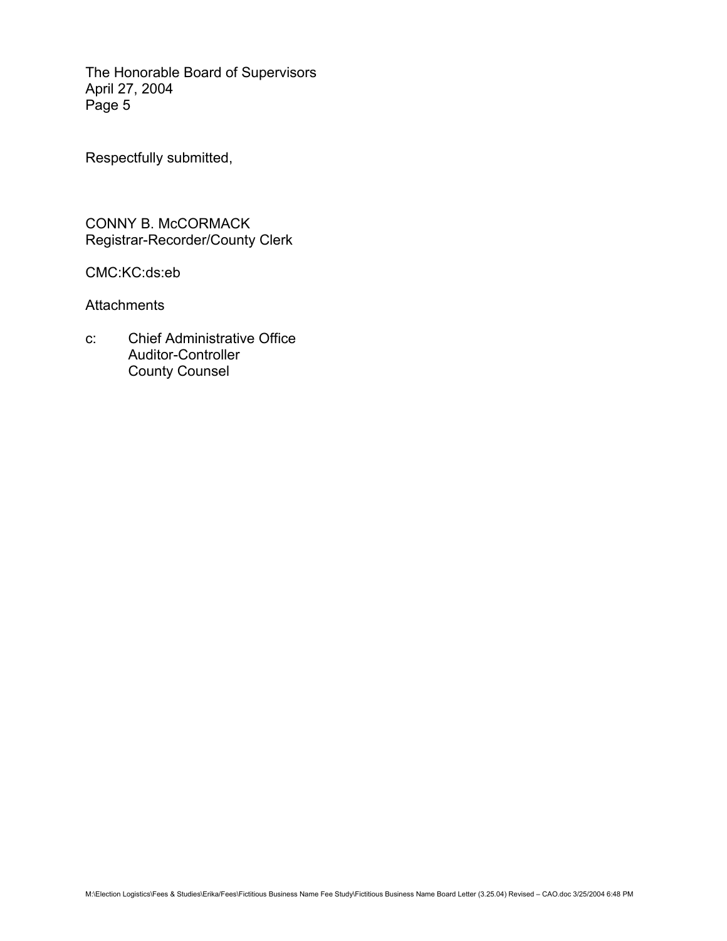The Honorable Board of Supervisors April 27, 2004 Page 5

Respectfully submitted,

CONNY B. McCORMACK Registrar-Recorder/County Clerk

CMC:KC:ds:eb

**Attachments** 

c: Chief Administrative Office Auditor-Controller County Counsel